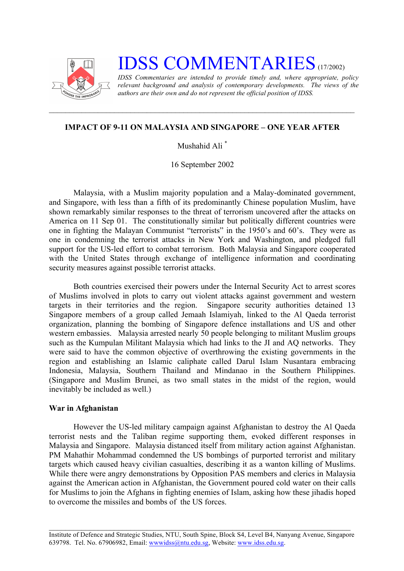

# **IDSS COMMENTARIES** (17/2002)

*IDSS Commentaries are intended to provide timely and, where appropriate, policy relevant background and analysis of contemporary developments. The views of the authors are their own and do not represent the official position of IDSS.*

## **IMPACT OF 9-11 ON MALAYSIA AND SINGAPORE – ONE YEAR AFTER**

Mushahid Ali \*

16 September 2002

Malaysia, with a Muslim majority population and a Malay-dominated government, and Singapore, with less than a fifth of its predominantly Chinese population Muslim, have shown remarkably similar responses to the threat of terrorism uncovered after the attacks on America on 11 Sep 01. The constitutionally similar but politically different countries were one in fighting the Malayan Communist "terrorists" in the 1950's and 60's. They were as one in condemning the terrorist attacks in New York and Washington, and pledged full support for the US-led effort to combat terrorism. Both Malaysia and Singapore cooperated with the United States through exchange of intelligence information and coordinating security measures against possible terrorist attacks.

Both countries exercised their powers under the Internal Security Act to arrest scores of Muslims involved in plots to carry out violent attacks against government and western targets in their territories and the region. Singapore security authorities detained 13 Singapore members of a group called Jemaah Islamiyah, linked to the Al Qaeda terrorist organization, planning the bombing of Singapore defence installations and US and other western embassies. Malaysia arrested nearly 50 people belonging to militant Muslim groups such as the Kumpulan Militant Malaysia which had links to the JI and AQ networks. They were said to have the common objective of overthrowing the existing governments in the region and establishing an Islamic caliphate called Darul Islam Nusantara embracing Indonesia, Malaysia, Southern Thailand and Mindanao in the Southern Philippines. (Singapore and Muslim Brunei, as two small states in the midst of the region, would inevitably be included as well.)

#### **War in Afghanistan**

However the US-led military campaign against Afghanistan to destroy the Al Qaeda terrorist nests and the Taliban regime supporting them, evoked different responses in Malaysia and Singapore. Malaysia distanced itself from military action against Afghanistan. PM Mahathir Mohammad condemned the US bombings of purported terrorist and military targets which caused heavy civilian casualties, describing it as a wanton killing of Muslims. While there were angry demonstrations by Opposition PAS members and clerics in Malaysia against the American action in Afghanistan, the Government poured cold water on their calls for Muslims to join the Afghans in fighting enemies of Islam, asking how these jihadis hoped to overcome the missiles and bombs of the US forces.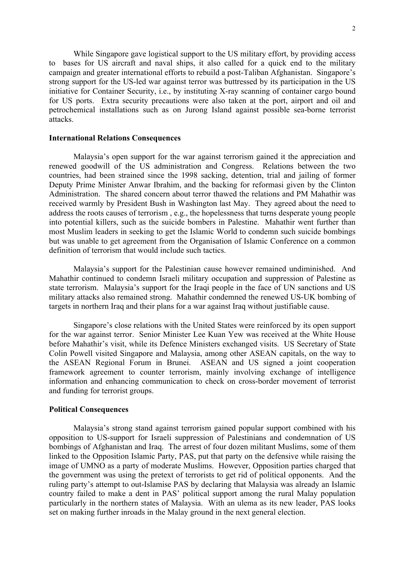While Singapore gave logistical support to the US military effort, by providing access to bases for US aircraft and naval ships, it also called for a quick end to the military campaign and greater international efforts to rebuild a post-Taliban Afghanistan. Singapore's strong support for the US-led war against terror was buttressed by its participation in the US initiative for Container Security, i.e., by instituting X-ray scanning of container cargo bound for US ports. Extra security precautions were also taken at the port, airport and oil and petrochemical installations such as on Jurong Island against possible sea-borne terrorist attacks.

#### **International Relations Consequences**

Malaysia's open support for the war against terrorism gained it the appreciation and renewed goodwill of the US administration and Congress. Relations between the two countries, had been strained since the 1998 sacking, detention, trial and jailing of former Deputy Prime Minister Anwar Ibrahim, and the backing for reformasi given by the Clinton Administration. The shared concern about terror thawed the relations and PM Mahathir was received warmly by President Bush in Washington last May. They agreed about the need to address the roots causes of terrorism , e.g., the hopelessness that turns desperate young people into potential killers, such as the suicide bombers in Palestine. Mahathir went further than most Muslim leaders in seeking to get the Islamic World to condemn such suicide bombings but was unable to get agreement from the Organisation of Islamic Conference on a common definition of terrorism that would include such tactics.

Malaysia's support for the Palestinian cause however remained undiminished. And Mahathir continued to condemn Israeli military occupation and suppression of Palestine as state terrorism. Malaysia's support for the Iraqi people in the face of UN sanctions and US military attacks also remained strong. Mahathir condemned the renewed US-UK bombing of targets in northern Iraq and their plans for a war against Iraq without justifiable cause.

Singapore's close relations with the United States were reinforced by its open support for the war against terror. Senior Minister Lee Kuan Yew was received at the White House before Mahathir's visit, while its Defence Ministers exchanged visits. US Secretary of State Colin Powell visited Singapore and Malaysia, among other ASEAN capitals, on the way to the ASEAN Regional Forum in Brunei. ASEAN and US signed a joint cooperation framework agreement to counter terrorism, mainly involving exchange of intelligence information and enhancing communication to check on cross-border movement of terrorist and funding for terrorist groups.

#### **Political Consequences**

Malaysia's strong stand against terrorism gained popular support combined with his opposition to US-support for Israeli suppression of Palestinians and condemnation of US bombings of Afghanistan and Iraq. The arrest of four dozen militant Muslims, some of them linked to the Opposition Islamic Party, PAS, put that party on the defensive while raising the image of UMNO as a party of moderate Muslims. However, Opposition parties charged that the government was using the pretext of terrorists to get rid of political opponents. And the ruling party's attempt to out-Islamise PAS by declaring that Malaysia was already an Islamic country failed to make a dent in PAS' political support among the rural Malay population particularly in the northern states of Malaysia. With an ulema as its new leader, PAS looks set on making further inroads in the Malay ground in the next general election.